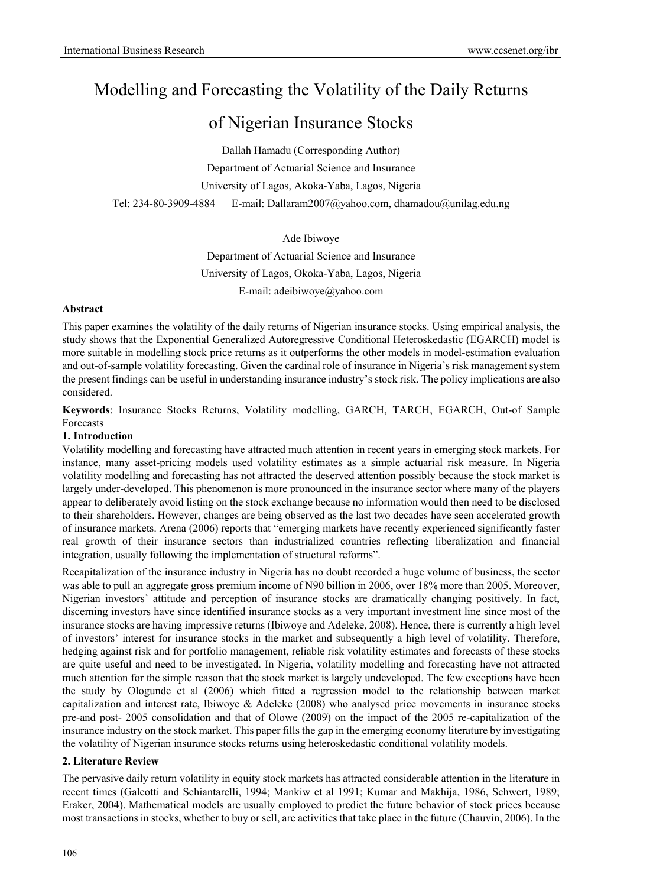# Modelling and Forecasting the Volatility of the Daily Returns

## of Nigerian Insurance Stocks

Dallah Hamadu (Corresponding Author) Department of Actuarial Science and Insurance University of Lagos, Akoka-Yaba, Lagos, Nigeria Tel: 234-80-3909-4884 E-mail: Dallaram2007@yahoo.com, dhamadou@unilag.edu.ng

## Ade Ibiwoye

Department of Actuarial Science and Insurance University of Lagos, Okoka-Yaba, Lagos, Nigeria E-mail: adeibiwoye@yahoo.com

## **Abstract**

This paper examines the volatility of the daily returns of Nigerian insurance stocks. Using empirical analysis, the study shows that the Exponential Generalized Autoregressive Conditional Heteroskedastic (EGARCH) model is more suitable in modelling stock price returns as it outperforms the other models in model-estimation evaluation and out-of-sample volatility forecasting. Given the cardinal role of insurance in Nigeria's risk management system the present findings can be useful in understanding insurance industry's stock risk. The policy implications are also considered.

**Keywords**: Insurance Stocks Returns, Volatility modelling, GARCH, TARCH, EGARCH, Out-of Sample Forecasts

## **1. Introduction**

Volatility modelling and forecasting have attracted much attention in recent years in emerging stock markets. For instance, many asset-pricing models used volatility estimates as a simple actuarial risk measure. In Nigeria volatility modelling and forecasting has not attracted the deserved attention possibly because the stock market is largely under-developed. This phenomenon is more pronounced in the insurance sector where many of the players appear to deliberately avoid listing on the stock exchange because no information would then need to be disclosed to their shareholders. However, changes are being observed as the last two decades have seen accelerated growth of insurance markets. Arena (2006) reports that "emerging markets have recently experienced significantly faster real growth of their insurance sectors than industrialized countries reflecting liberalization and financial integration, usually following the implementation of structural reforms".

Recapitalization of the insurance industry in Nigeria has no doubt recorded a huge volume of business, the sector was able to pull an aggregate gross premium income of N90 billion in 2006, over 18% more than 2005. Moreover, Nigerian investors' attitude and perception of insurance stocks are dramatically changing positively. In fact, discerning investors have since identified insurance stocks as a very important investment line since most of the insurance stocks are having impressive returns (Ibiwoye and Adeleke, 2008). Hence, there is currently a high level of investors' interest for insurance stocks in the market and subsequently a high level of volatility. Therefore, hedging against risk and for portfolio management, reliable risk volatility estimates and forecasts of these stocks are quite useful and need to be investigated. In Nigeria, volatility modelling and forecasting have not attracted much attention for the simple reason that the stock market is largely undeveloped. The few exceptions have been the study by Ologunde et al (2006) which fitted a regression model to the relationship between market capitalization and interest rate, Ibiwoye & Adeleke (2008) who analysed price movements in insurance stocks pre-and post- 2005 consolidation and that of Olowe (2009) on the impact of the 2005 re-capitalization of the insurance industry on the stock market. This paper fills the gap in the emerging economy literature by investigating the volatility of Nigerian insurance stocks returns using heteroskedastic conditional volatility models.

## **2. Literature Review**

The pervasive daily return volatility in equity stock markets has attracted considerable attention in the literature in recent times (Galeotti and Schiantarelli, 1994; Mankiw et al 1991; Kumar and Makhija, 1986, Schwert, 1989; Eraker, 2004). Mathematical models are usually employed to predict the future behavior of stock prices because most transactions in stocks, whether to buy or sell, are activities that take place in the future (Chauvin, 2006). In the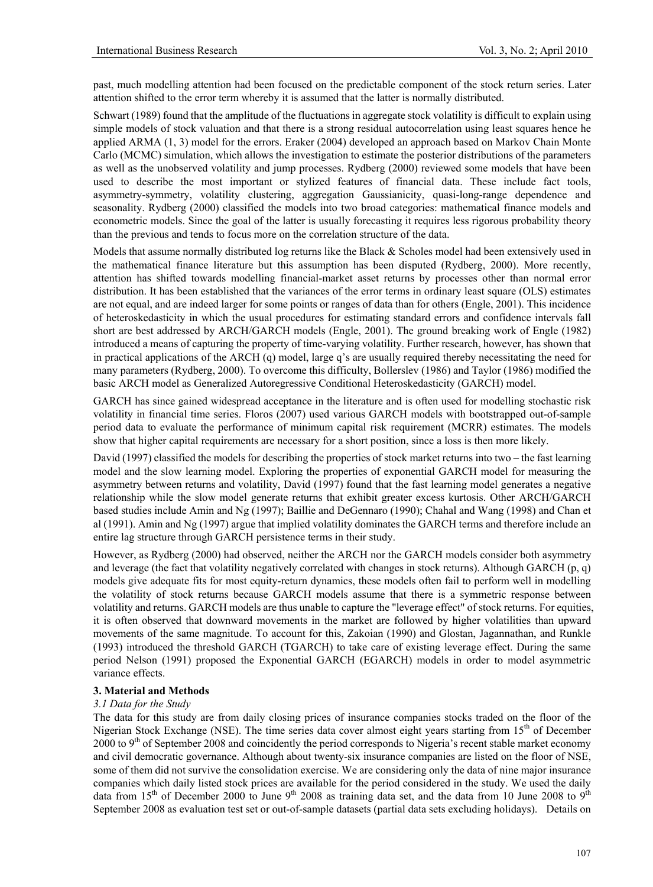past, much modelling attention had been focused on the predictable component of the stock return series. Later attention shifted to the error term whereby it is assumed that the latter is normally distributed.

Schwart (1989) found that the amplitude of the fluctuations in aggregate stock volatility is difficult to explain using simple models of stock valuation and that there is a strong residual autocorrelation using least squares hence he applied ARMA (1, 3) model for the errors. Eraker (2004) developed an approach based on Markov Chain Monte Carlo (MCMC) simulation, which allows the investigation to estimate the posterior distributions of the parameters as well as the unobserved volatility and jump processes. Rydberg (2000) reviewed some models that have been used to describe the most important or stylized features of financial data. These include fact tools, asymmetry-symmetry, volatility clustering, aggregation Gaussianicity, quasi-long-range dependence and seasonality. Rydberg (2000) classified the models into two broad categories: mathematical finance models and econometric models. Since the goal of the latter is usually forecasting it requires less rigorous probability theory than the previous and tends to focus more on the correlation structure of the data.

Models that assume normally distributed log returns like the Black  $\&$  Scholes model had been extensively used in the mathematical finance literature but this assumption has been disputed (Rydberg, 2000). More recently, attention has shifted towards modelling financial-market asset returns by processes other than normal error distribution. It has been established that the variances of the error terms in ordinary least square (OLS) estimates are not equal, and are indeed larger for some points or ranges of data than for others (Engle, 2001). This incidence of heteroskedasticity in which the usual procedures for estimating standard errors and confidence intervals fall short are best addressed by ARCH/GARCH models (Engle, 2001). The ground breaking work of Engle (1982) introduced a means of capturing the property of time-varying volatility. Further research, however, has shown that in practical applications of the ARCH (q) model, large q's are usually required thereby necessitating the need for many parameters (Rydberg, 2000). To overcome this difficulty, Bollerslev (1986) and Taylor (1986) modified the basic ARCH model as Generalized Autoregressive Conditional Heteroskedasticity (GARCH) model.

GARCH has since gained widespread acceptance in the literature and is often used for modelling stochastic risk volatility in financial time series. Floros (2007) used various GARCH models with bootstrapped out-of-sample period data to evaluate the performance of minimum capital risk requirement (MCRR) estimates. The models show that higher capital requirements are necessary for a short position, since a loss is then more likely.

David (1997) classified the models for describing the properties of stock market returns into two – the fast learning model and the slow learning model. Exploring the properties of exponential GARCH model for measuring the asymmetry between returns and volatility, David (1997) found that the fast learning model generates a negative relationship while the slow model generate returns that exhibit greater excess kurtosis. Other ARCH/GARCH based studies include Amin and Ng (1997); Baillie and DeGennaro (1990); Chahal and Wang (1998) and Chan et al (1991). Amin and Ng (1997) argue that implied volatility dominates the GARCH terms and therefore include an entire lag structure through GARCH persistence terms in their study.

However, as Rydberg (2000) had observed, neither the ARCH nor the GARCH models consider both asymmetry and leverage (the fact that volatility negatively correlated with changes in stock returns). Although GARCH (p, q) models give adequate fits for most equity-return dynamics, these models often fail to perform well in modelling the volatility of stock returns because GARCH models assume that there is a symmetric response between volatility and returns. GARCH models are thus unable to capture the "leverage effect" of stock returns. For equities, it is often observed that downward movements in the market are followed by higher volatilities than upward movements of the same magnitude. To account for this, Zakoian (1990) and Glostan, Jagannathan, and Runkle (1993) introduced the threshold GARCH (TGARCH) to take care of existing leverage effect. During the same period Nelson (1991) proposed the Exponential GARCH (EGARCH) models in order to model asymmetric variance effects.

## **3. Material and Methods**

## *3.1 Data for the Study*

The data for this study are from daily closing prices of insurance companies stocks traded on the floor of the Nigerian Stock Exchange (NSE). The time series data cover almost eight years starting from 15<sup>th</sup> of December 2000 to  $9<sup>th</sup>$  of September 2008 and coincidently the period corresponds to Nigeria's recent stable market economy and civil democratic governance. Although about twenty-six insurance companies are listed on the floor of NSE, some of them did not survive the consolidation exercise. We are considering only the data of nine major insurance companies which daily listed stock prices are available for the period considered in the study. We used the daily data from 15<sup>th</sup> of December 2000 to June 9<sup>th</sup> 2008 as training data set, and the data from 10 June 2008 to 9<sup>th</sup> September 2008 as evaluation test set or out-of-sample datasets (partial data sets excluding holidays). Details on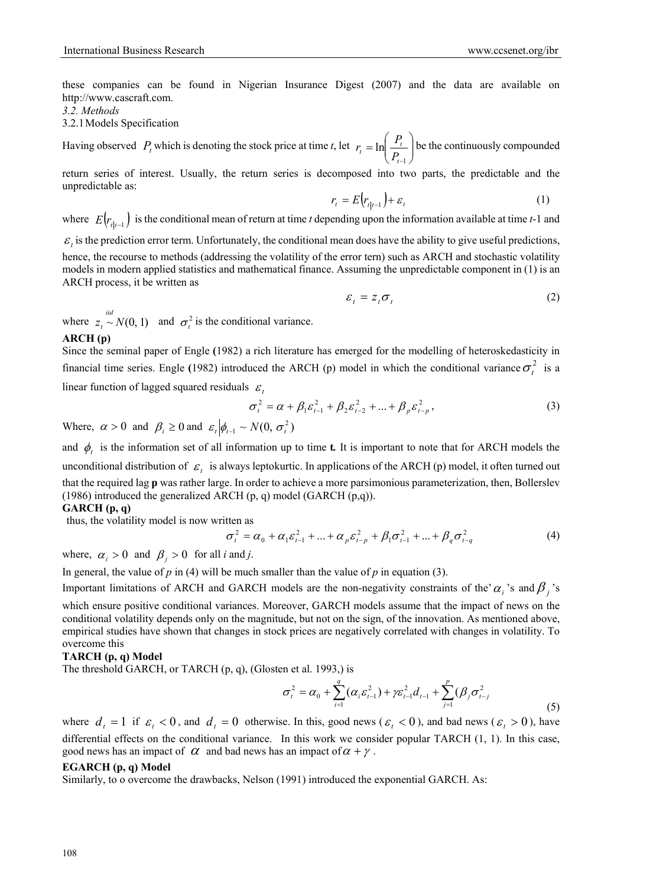these companies can be found in Nigerian Insurance Digest (2007) and the data are available on http://www.cascraft.com.

*3.2. Methods* 

3.2.1 Models Specification

Having observed  $P_t$  which is denoting the stock price at time *t*, let  $r_t = \ln\left(\frac{P_t}{P}\right)$ ⎠ ⎞  $\parallel$ ⎝  $=$  ln $\left($ −1 ln *t*  $\tau_t = \ln\left(\frac{I_t}{P_{t-1}}\right)$  $r_i = \ln\left(\frac{P_i}{R}\right)$  be the continuously compounded

return series of interest. Usually, the return series is decomposed into two parts, the predictable and the unpredictable as:

$$
r_t = E(r_{t|t-1}) + \varepsilon_t \tag{1}
$$

where  $E(r_{t|t-1})$  is the conditional mean of return at time *t* depending upon the information available at time *t*-1 and  $\varepsilon$ , is the prediction error term. Unfortunately, the conditional mean does have the ability to give useful predictions, hence, the recourse to methods (addressing the volatility of the error tern) such as ARCH and stochastic volatility models in modern applied statistics and mathematical finance. Assuming the unpredictable component in (1) is an ARCH process, it be written as

$$
\varepsilon_t = z_t \sigma_t \tag{2}
$$

where  $z_i \sim N(0, 1)$  and  $\sigma_i^2$  is the conditional variance.

#### **ARCH (p)**

Since the seminal paper of Engle **(**1982) a rich literature has emerged for the modelling of heteroskedasticity in financial time series. Engle (1982) introduced the ARCH (p) model in which the conditional variance  $\sigma_t^2$  is a linear function of lagged squared residuals  $\varepsilon$ .

$$
\sigma_t^2 = \alpha + \beta_1 \varepsilon_{t-1}^2 + \beta_2 \varepsilon_{t-2}^2 + \dots + \beta_p \varepsilon_{t-p}^2, \tag{3}
$$

Where,  $\alpha > 0$  and  $\beta_i \ge 0$  and  $\varepsilon_i | \phi_{t-1} \sim N(0, \sigma_t^2)$ 

and  $\phi_t$  is the information set of all information up to time **t**. It is important to note that for ARCH models the unconditional distribution of  $\varepsilon_t$  is always leptokurtic. In applications of the ARCH (p) model, it often turned out that the required lag **p** was rather large. In order to achieve a more parsimonious parameterization, then, Bollerslev (1986) introduced the generalized ARCH  $(p, q)$  model (GARCH  $(p,q)$ ).

#### **GARCH (p, q)**

thus, the volatility model is now written as

$$
\sigma_t^2 = \alpha_0 + \alpha_1 \varepsilon_{t-1}^2 + \dots + \alpha_p \varepsilon_{t-p}^2 + \beta_1 \sigma_{t-1}^2 + \dots + \beta_q \sigma_{t-q}^2 \tag{4}
$$

where,  $\alpha_i > 0$  and  $\beta_i > 0$  for all *i* and *j*.

In general, the value of  $p$  in (4) will be much smaller than the value of  $p$  in equation (3).

Important limitations of ARCH and GARCH models are the non-negativity constraints of the  $\alpha_i$  's and  $\beta_i$ 's

which ensure positive conditional variances. Moreover, GARCH models assume that the impact of news on the conditional volatility depends only on the magnitude, but not on the sign, of the innovation. As mentioned above, empirical studies have shown that changes in stock prices are negatively correlated with changes in volatility. To overcome this

#### **TARCH (p, q) Model**

The threshold GARCH, or TARCH (p, q), (Glosten et al. 1993,) is

$$
\sigma_t^2 = \alpha_0 + \sum_{i=1}^q (\alpha_i \varepsilon_{t-1}^2) + \gamma \varepsilon_{t-1}^2 d_{t-1} + \sum_{j=1}^p (\beta_j \sigma_{t-j}^2)
$$
(5)

where  $d_t = 1$  if  $\varepsilon_t < 0$ , and  $d_t = 0$  otherwise. In this, good news ( $\varepsilon_t < 0$ ), and bad news ( $\varepsilon_t > 0$ ), have differential effects on the conditional variance. In this work we consider popular TARCH (1, 1). In this case, good news has an impact of  $\alpha$  and bad news has an impact of  $\alpha + \gamma$ .

#### **EGARCH (p, q) Model**

Similarly, to o overcome the drawbacks, Nelson (1991) introduced the exponential GARCH. As: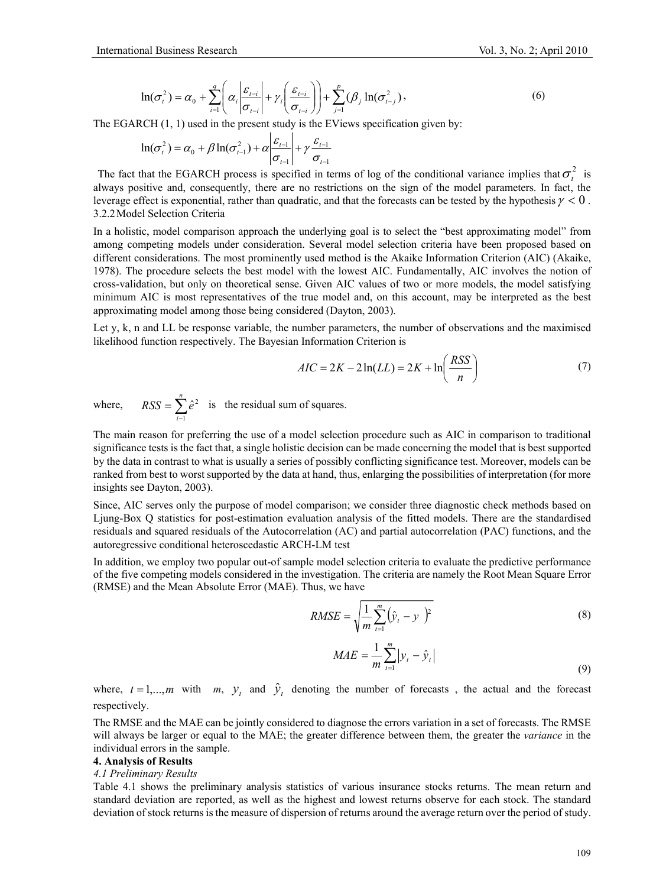$$
\ln(\sigma_i^2) = \alpha_0 + \sum_{i=1}^q \left( \alpha_i \left| \frac{\varepsilon_{t-i}}{\sigma_{t-i}} \right| + \gamma_i \left( \frac{\varepsilon_{t-i}}{\sigma_{t-i}} \right) \right) + \sum_{j=1}^p (\beta_j \ln(\sigma_{t-j}^2)),
$$
\n(6)

The EGARCH (1, 1) used in the present study is the EViews specification given by:

$$
\ln(\sigma_i^2) = \alpha_0 + \beta \ln(\sigma_{i-1}^2) + \alpha \left| \frac{\varepsilon_{i-1}}{\sigma_{i-1}} \right| + \gamma \frac{\varepsilon_{i-1}}{\sigma_{i-1}}
$$

The fact that the EGARCH process is specified in terms of log of the conditional variance implies that  $\sigma_t^2$  is always positive and, consequently, there are no restrictions on the sign of the model parameters. In fact, the leverage effect is exponential, rather than quadratic, and that the forecasts can be tested by the hypothesis  $\gamma < 0$ . 3.2.2 Model Selection Criteria

In a holistic, model comparison approach the underlying goal is to select the "best approximating model" from among competing models under consideration. Several model selection criteria have been proposed based on different considerations. The most prominently used method is the Akaike Information Criterion (AIC) (Akaike, 1978). The procedure selects the best model with the lowest AIC. Fundamentally, AIC involves the notion of cross-validation, but only on theoretical sense. Given AIC values of two or more models, the model satisfying minimum AIC is most representatives of the true model and, on this account, may be interpreted as the best approximating model among those being considered (Dayton, 2003).

Let y, k, n and LL be response variable, the number parameters, the number of observations and the maximised likelihood function respectively. The Bayesian Information Criterion is

$$
AIC = 2K - 2\ln(LL) = 2K + \ln\left(\frac{RSS}{n}\right) \tag{7}
$$

where,  $RSS = \sum_{i=1}^{n} \hat{e}^2$  is the residual sum of squares. *i* 1

The main reason for preferring the use of a model selection procedure such as AIC in comparison to traditional significance tests is the fact that, a single holistic decision can be made concerning the model that is best supported by the data in contrast to what is usually a series of possibly conflicting significance test. Moreover, models can be ranked from best to worst supported by the data at hand, thus, enlarging the possibilities of interpretation (for more insights see Dayton, 2003).

Since, AIC serves only the purpose of model comparison; we consider three diagnostic check methods based on Ljung-Box Q statistics for post-estimation evaluation analysis of the fitted models. There are the standardised residuals and squared residuals of the Autocorrelation (AC) and partial autocorrelation (PAC) functions, and the autoregressive conditional heteroscedastic ARCH-LM test

In addition, we employ two popular out-of sample model selection criteria to evaluate the predictive performance of the five competing models considered in the investigation. The criteria are namely the Root Mean Square Error (RMSE) and the Mean Absolute Error (MAE). Thus, we have

$$
RMSE = \sqrt{\frac{1}{m} \sum_{t=1}^{m} (\hat{y}_t - y)^2}
$$
 (8)

$$
MAE = \frac{1}{m} \sum_{t=1}^{m} |y_t - \hat{y}_t|
$$
\n(9)

where,  $t = 1,...,m$  with *m*,  $y_t$  and  $\hat{y}_t$  denoting the number of forecasts, the actual and the forecast respectively.

The RMSE and the MAE can be jointly considered to diagnose the errors variation in a set of forecasts. The RMSE will always be larger or equal to the MAE; the greater difference between them, the greater the *variance* in the individual errors in the sample.

## **4. Analysis of Results**

#### *4.1 Preliminary Results*

Table 4.1 shows the preliminary analysis statistics of various insurance stocks returns. The mean return and standard deviation are reported, as well as the highest and lowest returns observe for each stock. The standard deviation of stock returns is the measure of dispersion of returns around the average return over the period of study.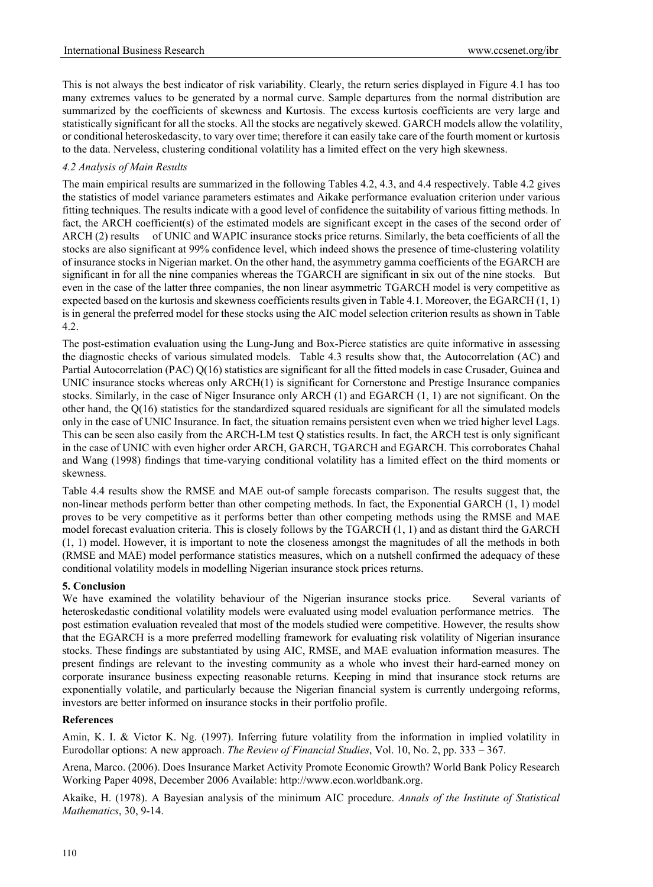This is not always the best indicator of risk variability. Clearly, the return series displayed in Figure 4.1 has too many extremes values to be generated by a normal curve. Sample departures from the normal distribution are summarized by the coefficients of skewness and Kurtosis. The excess kurtosis coefficients are very large and statistically significant for all the stocks. All the stocks are negatively skewed. GARCH models allow the volatility, or conditional heteroskedascity, to vary over time; therefore it can easily take care of the fourth moment or kurtosis to the data. Nerveless, clustering conditional volatility has a limited effect on the very high skewness.

## *4.2 Analysis of Main Results*

The main empirical results are summarized in the following Tables 4.2, 4.3, and 4.4 respectively. Table 4.2 gives the statistics of model variance parameters estimates and Aikake performance evaluation criterion under various fitting techniques. The results indicate with a good level of confidence the suitability of various fitting methods. In fact, the ARCH coefficient(s) of the estimated models are significant except in the cases of the second order of ARCH (2) results of UNIC and WAPIC insurance stocks price returns. Similarly, the beta coefficients of all the stocks are also significant at 99% confidence level, which indeed shows the presence of time-clustering volatility of insurance stocks in Nigerian market. On the other hand, the asymmetry gamma coefficients of the EGARCH are significant in for all the nine companies whereas the TGARCH are significant in six out of the nine stocks. But even in the case of the latter three companies, the non linear asymmetric TGARCH model is very competitive as expected based on the kurtosis and skewness coefficients results given in Table 4.1. Moreover, the EGARCH (1, 1) is in general the preferred model for these stocks using the AIC model selection criterion results as shown in Table 4.2.

The post-estimation evaluation using the Lung-Jung and Box-Pierce statistics are quite informative in assessing the diagnostic checks of various simulated models. Table 4.3 results show that, the Autocorrelation (AC) and Partial Autocorrelation (PAC) Q(16) statistics are significant for all the fitted models in case Crusader, Guinea and UNIC insurance stocks whereas only ARCH(1) is significant for Cornerstone and Prestige Insurance companies stocks. Similarly, in the case of Niger Insurance only ARCH (1) and EGARCH (1, 1) are not significant. On the other hand, the Q(16) statistics for the standardized squared residuals are significant for all the simulated models only in the case of UNIC Insurance. In fact, the situation remains persistent even when we tried higher level Lags. This can be seen also easily from the ARCH-LM test Q statistics results. In fact, the ARCH test is only significant in the case of UNIC with even higher order ARCH, GARCH, TGARCH and EGARCH. This corroborates Chahal and Wang (1998) findings that time-varying conditional volatility has a limited effect on the third moments or skewness.

Table 4.4 results show the RMSE and MAE out-of sample forecasts comparison. The results suggest that, the non-linear methods perform better than other competing methods. In fact, the Exponential GARCH (1, 1) model proves to be very competitive as it performs better than other competing methods using the RMSE and MAE model forecast evaluation criteria. This is closely follows by the TGARCH (1, 1) and as distant third the GARCH (1, 1) model. However, it is important to note the closeness amongst the magnitudes of all the methods in both (RMSE and MAE) model performance statistics measures, which on a nutshell confirmed the adequacy of these conditional volatility models in modelling Nigerian insurance stock prices returns.

## **5. Conclusion**

We have examined the volatility behaviour of the Nigerian insurance stocks price. Several variants of heteroskedastic conditional volatility models were evaluated using model evaluation performance metrics. The post estimation evaluation revealed that most of the models studied were competitive. However, the results show that the EGARCH is a more preferred modelling framework for evaluating risk volatility of Nigerian insurance stocks. These findings are substantiated by using AIC, RMSE, and MAE evaluation information measures. The present findings are relevant to the investing community as a whole who invest their hard-earned money on corporate insurance business expecting reasonable returns. Keeping in mind that insurance stock returns are exponentially volatile, and particularly because the Nigerian financial system is currently undergoing reforms, investors are better informed on insurance stocks in their portfolio profile.

## **References**

Amin, K. I. & Victor K. Ng. (1997). Inferring future volatility from the information in implied volatility in Eurodollar options: A new approach. *The Review of Financial Studies*, Vol. 10, No. 2, pp. 333 – 367.

Arena, Marco. (2006). Does Insurance Market Activity Promote Economic Growth? World Bank Policy Research Working Paper 4098, December 2006 Available: http://www.econ.worldbank.org.

Akaike, H. (1978). A Bayesian analysis of the minimum AIC procedure. *Annals of the Institute of Statistical Mathematics*, 30, 9-14.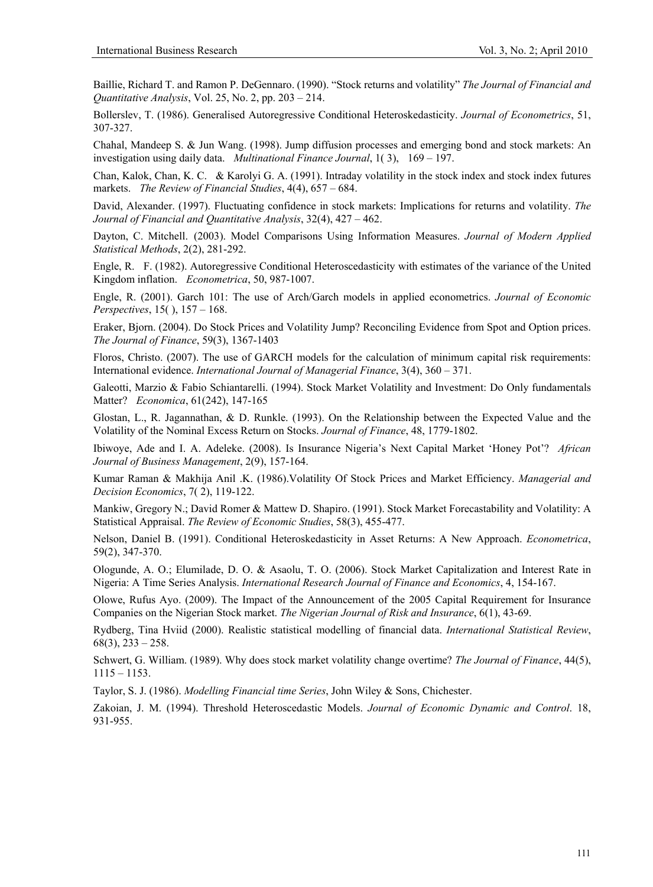Baillie, Richard T. and Ramon P. DeGennaro. (1990). "Stock returns and volatility" *The Journal of Financial and Quantitative Analysis*, Vol. 25, No. 2, pp. 203 – 214.

Bollerslev, T. (1986). Generalised Autoregressive Conditional Heteroskedasticity. *Journal of Econometrics*, 51, 307-327.

Chahal, Mandeep S. & Jun Wang. (1998). Jump diffusion processes and emerging bond and stock markets: An investigation using daily data. *Multinational Finance Journal*, 1( 3), 169 – 197.

Chan, Kalok, Chan, K. C. & Karolyi G. A. (1991). Intraday volatility in the stock index and stock index futures markets. *The Review of Financial Studies*, 4(4), 657 – 684.

David, Alexander. (1997). Fluctuating confidence in stock markets: Implications for returns and volatility. *The Journal of Financial and Quantitative Analysis*, 32(4), 427 – 462.

Dayton, C. Mitchell. (2003). Model Comparisons Using Information Measures. *Journal of Modern Applied Statistical Methods*, 2(2), 281-292.

Engle, R. F. (1982). Autoregressive Conditional Heteroscedasticity with estimates of the variance of the United Kingdom inflation. *Econometrica*, 50, 987-1007.

Engle, R. (2001). Garch 101: The use of Arch/Garch models in applied econometrics. *Journal of Economic Perspectives*, 15( ), 157 – 168.

Eraker, Bjorn. (2004). Do Stock Prices and Volatility Jump? Reconciling Evidence from Spot and Option prices. *The Journal of Finance*, 59(3), 1367-1403

Floros, Christo. (2007). The use of GARCH models for the calculation of minimum capital risk requirements: International evidence. *International Journal of Managerial Finance*, 3(4), 360 – 371.

Galeotti, Marzio & Fabio Schiantarelli. (1994). Stock Market Volatility and Investment: Do Only fundamentals Matter? *Economica*, 61(242), 147-165

Glostan, L., R. Jagannathan, & D. Runkle. (1993). On the Relationship between the Expected Value and the Volatility of the Nominal Excess Return on Stocks. *Journal of Finance*, 48, 1779-1802.

Ibiwoye, Ade and I. A. Adeleke. (2008). Is Insurance Nigeria's Next Capital Market 'Honey Pot'? *African Journal of Business Management*, 2(9), 157-164.

Kumar Raman & Makhija Anil .K. (1986).Volatility Of Stock Prices and Market Efficiency. *Managerial and Decision Economics*, 7( 2), 119-122.

Mankiw, Gregory N.; David Romer & Mattew D. Shapiro. (1991). Stock Market Forecastability and Volatility: A Statistical Appraisal. *The Review of Economic Studies*, 58(3), 455-477.

Nelson, Daniel B. (1991). Conditional Heteroskedasticity in Asset Returns: A New Approach. *Econometrica*, 59(2), 347-370.

Ologunde, A. O.; Elumilade, D. O. & Asaolu, T. O. (2006). Stock Market Capitalization and Interest Rate in Nigeria: A Time Series Analysis. *International Research Journal of Finance and Economics*, 4, 154-167.

Olowe, Rufus Ayo. (2009). The Impact of the Announcement of the 2005 Capital Requirement for Insurance Companies on the Nigerian Stock market. *The Nigerian Journal of Risk and Insurance*, 6(1), 43-69.

Rydberg, Tina Hviid (2000). Realistic statistical modelling of financial data. *International Statistical Review*,  $68(3)$ ,  $233 - 258$ .

Schwert, G. William. (1989). Why does stock market volatility change overtime? *The Journal of Finance*, 44(5), 1115 – 1153.

Taylor, S. J. (1986). *Modelling Financial time Series*, John Wiley & Sons, Chichester.

Zakoian, J. M. (1994). Threshold Heteroscedastic Models. *Journal of Economic Dynamic and Control*. 18, 931-955.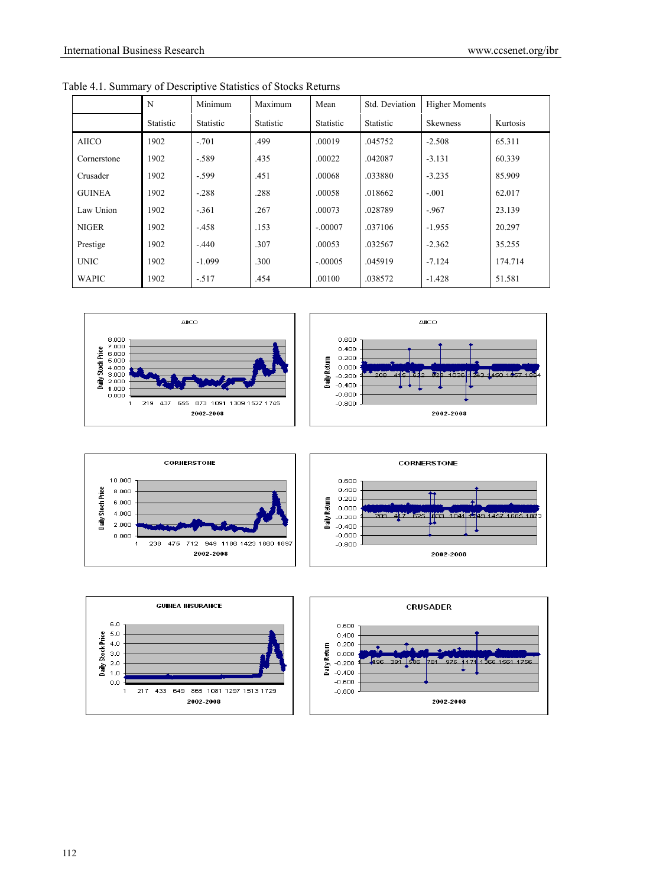|               | N         | Minimum   | Maximum   | Mean      | Std. Deviation | <b>Higher Moments</b> |          |
|---------------|-----------|-----------|-----------|-----------|----------------|-----------------------|----------|
|               | Statistic | Statistic | Statistic | Statistic | Statistic      | <b>Skewness</b>       | Kurtosis |
| <b>AIICO</b>  | 1902      | $-.701$   | .499      | .00019    | .045752        | $-2.508$              | 65.311   |
| Cornerstone   | 1902      | $-.589$   | .435      | .00022    | .042087        | $-3.131$              | 60.339   |
| Crusader      | 1902      | $-.599$   | .451      | .00068    | .033880        | $-3.235$              | 85.909   |
| <b>GUINEA</b> | 1902      | $-.288$   | .288      | .00058    | .018662        | $-.001$               | 62.017   |
| Law Union     | 1902      | $-.361$   | .267      | .00073    | .028789        | $-967$                | 23.139   |
| <b>NIGER</b>  | 1902      | $-458$    | .153      | $-.00007$ | .037106        | $-1.955$              | 20.297   |
| Prestige      | 1902      | $-.440$   | .307      | .00053    | .032567        | $-2.362$              | 35.255   |
| <b>UNIC</b>   | 1902      | $-1.099$  | .300      | $-.00005$ | .045919        | $-7.124$              | 174.714  |
| <b>WAPIC</b>  | 1902      | $-.517$   | .454      | .00100    | .038572        | $-1.428$              | 51.581   |

Table 4.1. Summary of Descriptive Statistics of Stocks Returns











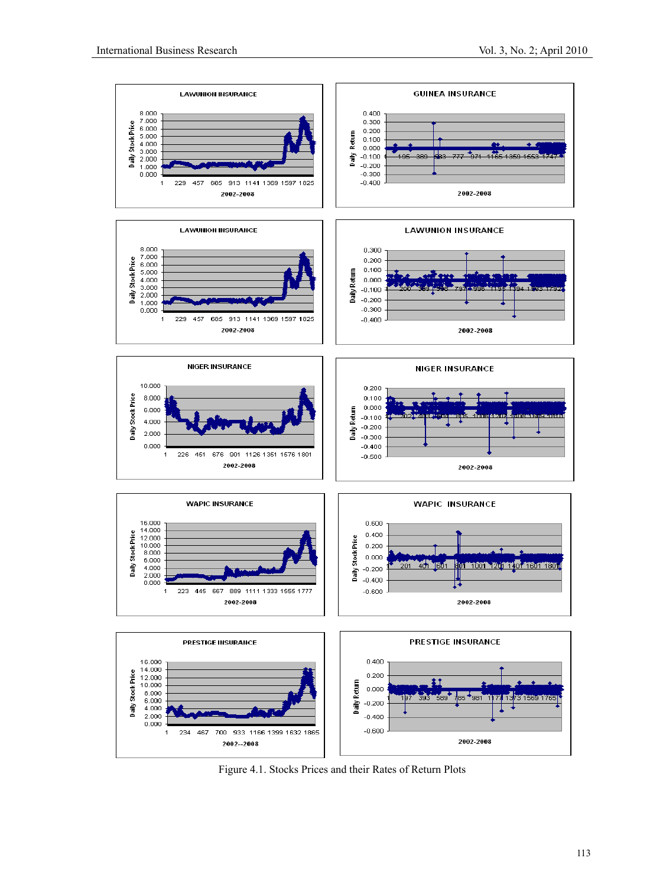

Figure 4.1. Stocks Prices and their Rates of Return Plots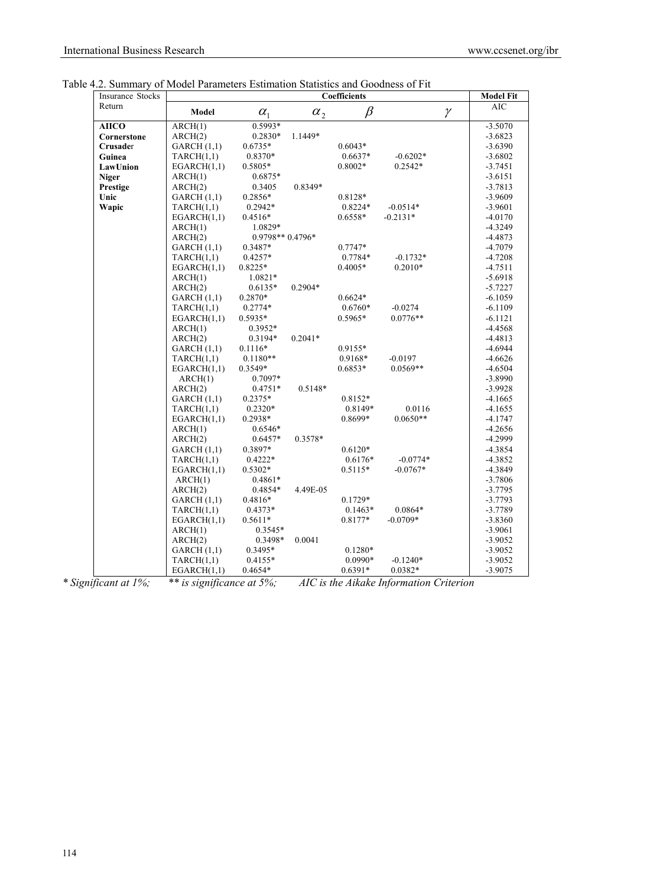| Insurance Stocks | Coefficients |                  |                                 |           |            | <b>Model Fit</b> |           |
|------------------|--------------|------------------|---------------------------------|-----------|------------|------------------|-----------|
| Return           | Model        | $\alpha_{1}$     | $\alpha_{\scriptscriptstyle 2}$ | $\beta$   |            | $\gamma$         | AIC       |
| <b>AIICO</b>     | ARCH(1)      | $0.5993*$        |                                 |           |            |                  | $-3.5070$ |
| Cornerstone      | ARCH(2)      | $0.2830*$        | 1.1449*                         |           |            |                  | $-3.6823$ |
| Crusader         | GARCH(1,1)   | $0.6735*$        |                                 | $0.6043*$ |            |                  | $-3.6390$ |
| Guinea           | TARCH(1,1)   | 0.8370*          |                                 | $0.6637*$ | $-0.6202*$ |                  | $-3.6802$ |
| LawUnion         | EGARCH(1,1)  | 0.5805*          |                                 | $0.8002*$ | $0.2542*$  |                  | $-3.7451$ |
| <b>Niger</b>     | ARCH(1)      | $0.6875*$        |                                 |           |            |                  | $-3.6151$ |
| Prestige         | ARCH(2)      | 0.3405           | $0.8349*$                       |           |            |                  | $-3.7813$ |
| Unic             | GARCH(1,1)   | $0.2856*$        |                                 | $0.8128*$ |            |                  | $-3.9609$ |
| Wapic            | TARCH(1,1)   | $0.2942*$        |                                 | $0.8224*$ | $-0.0514*$ |                  | $-3.9601$ |
|                  | EGARCH(1,1)  | $0.4516*$        |                                 | $0.6558*$ | $-0.2131*$ |                  | $-4.0170$ |
|                  | ARCH(1)      | 1.0829*          |                                 |           |            |                  | $-4.3249$ |
|                  | ARCH(2)      | 0.9798** 0.4796* |                                 |           |            |                  | $-4.4873$ |
|                  | GARCH(1,1)   | 0.3487*          |                                 | $0.7747*$ |            |                  | $-4.7079$ |
|                  | TARCH(1,1)   | $0.4257*$        |                                 | $0.7784*$ | $-0.1732*$ |                  | $-4.7208$ |
|                  | EGARCH(1,1)  | $0.8225*$        |                                 | $0.4005*$ | $0.2010*$  |                  | $-4.7511$ |
|                  | ARCH(1)      | 1.0821*          |                                 |           |            |                  | $-5.6918$ |
|                  | ARCH(2)      | $0.6135*$        | $0.2904*$                       |           |            |                  | $-5.7227$ |
|                  | GARCH(1,1)   | 0.2870*          |                                 | $0.6624*$ |            |                  | $-6.1059$ |
|                  | TARCH(1,1)   | $0.2774*$        |                                 | $0.6760*$ | $-0.0274$  |                  | $-6.1109$ |
|                  | EGARCH(1,1)  | $0.5935*$        |                                 | $0.5965*$ | $0.0776**$ |                  | $-6.1121$ |
|                  | ARCH(1)      | $0.3952*$        |                                 |           |            |                  | $-4.4568$ |
|                  | ARCH(2)      | 0.3194*          | $0.2041*$                       |           |            |                  | $-4.4813$ |
|                  | GARCH(1,1)   | $0.1116*$        |                                 | $0.9155*$ |            |                  | $-4.6944$ |
|                  | TARCH(1,1)   | $0.1180**$       |                                 | $0.9168*$ | $-0.0197$  |                  | $-4.6626$ |
|                  | EGARCH(1,1)  | 0.3549*          |                                 | $0.6853*$ | $0.0569**$ |                  | $-4.6504$ |
|                  | ARCH(1)      | $0.7097*$        |                                 |           |            |                  | $-3.8990$ |
|                  | ARCH(2)      | $0.4751*$        | $0.5148*$                       |           |            |                  | $-3.9928$ |
|                  | GARCH(1,1)   | $0.2375*$        |                                 | $0.8152*$ |            |                  | $-4.1665$ |
|                  | TARCH(1,1)   | $0.2320*$        |                                 | 0.8149*   | 0.0116     |                  | $-4.1655$ |
|                  | EGARCH(1,1)  | $0.2938*$        |                                 | $0.8699*$ | $0.0650**$ |                  | $-4.1747$ |
|                  | ARCH(1)      | $0.6546*$        |                                 |           |            |                  | $-4.2656$ |
|                  | ARCH(2)      | $0.6457*$        | 0.3578*                         |           |            |                  | $-4.2999$ |
|                  | GARCH(1,1)   | 0.3897*          |                                 | $0.6120*$ |            |                  | -4.3854   |
|                  | TARCH(1,1)   | $0.4222*$        |                                 | $0.6176*$ | $-0.0774*$ |                  | $-4.3852$ |
|                  | EGARCH(1,1)  | $0.5302*$        |                                 | $0.5115*$ | $-0.0767*$ |                  | $-4.3849$ |
|                  | ARCH(1)      | $0.4861*$        |                                 |           |            |                  | $-3.7806$ |
|                  | ARCH(2)      | 0.4854*          | 4.49E-05                        |           |            |                  | $-3.7795$ |
|                  | GARCH(1,1)   | $0.4816*$        |                                 | 0.1729*   |            |                  | $-3.7793$ |
|                  | TARCH(1,1)   | $0.4373*$        |                                 | $0.1463*$ | $0.0864*$  |                  | $-3.7789$ |
|                  | EGARCH(1,1)  | $0.5611*$        |                                 | $0.8177*$ | $-0.0709*$ |                  | $-3.8360$ |
|                  | ARCH(1)      | $0.3545*$        |                                 |           |            |                  | $-3.9061$ |
|                  | ARCH(2)      | 0.3498*          | 0.0041                          |           |            |                  | $-3.9052$ |
|                  | GARCH(1,1)   | 0.3495*          |                                 | $0.1280*$ |            |                  | $-3.9052$ |
|                  | TARCH(1,1)   | $0.4155*$        |                                 | 0.0990*   | $-0.1240*$ |                  | $-3.9052$ |
|                  | EGARCH(1,1)  | $0.4654*$        |                                 | $0.6391*$ | $0.0382*$  |                  | $-3.9075$ |

Table 4.2. Summary of Model Parameters Estimation Statistics and Goodness of Fit

*\* Significant at 1%; \*\* is significance at 5%; AIC is the Aikake Information Criterion*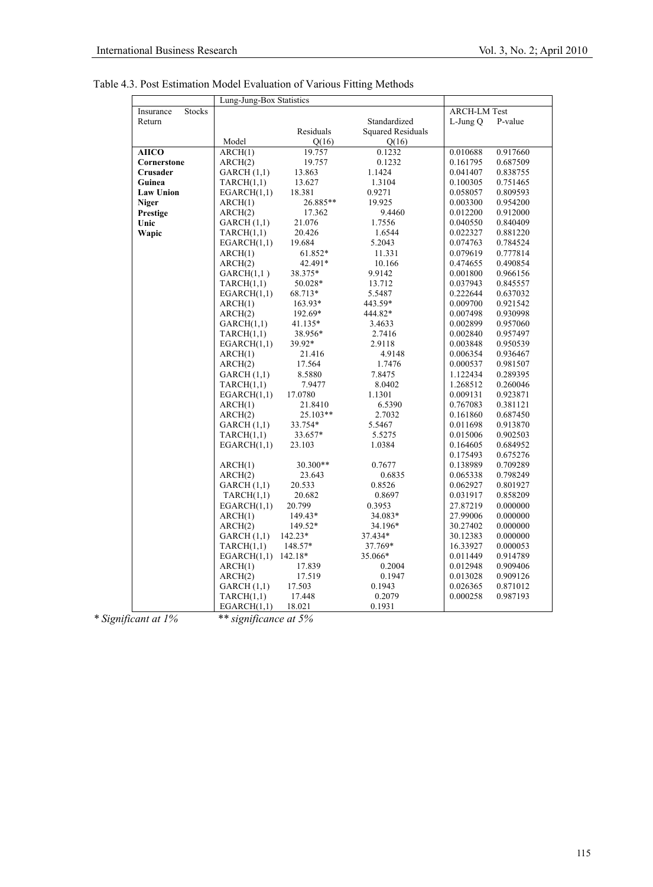|                            | Lung-Jung-Box Statistics |           |                          |                     |          |
|----------------------------|--------------------------|-----------|--------------------------|---------------------|----------|
| <b>Stocks</b><br>Insurance |                          |           |                          | <b>ARCH-LM Test</b> |          |
| Return                     |                          |           | Standardized             | $L$ -Jung $Q$       | P-value  |
|                            |                          | Residuals | <b>Squared Residuals</b> |                     |          |
|                            | Model                    | Q(16)     | O(16)                    |                     |          |
| <b>AIICO</b>               | ARCH(1)                  | 19.757    | 0.1232                   | 0.010688            | 0.917660 |
| Cornerstone                | ARCH(2)                  | 19.757    | 0.1232                   | 0.161795            | 0.687509 |
| <b>Crusader</b>            | GARCH(1,1)               | 13.863    | 1.1424                   | 0.041407            | 0.838755 |
| Guinea                     | TARCH(1,1)               | 13.627    | 1.3104                   | 0.100305            | 0.751465 |
| <b>Law Union</b>           | EGARCH(1,1)              | 18.381    | 0.9271                   | 0.058057            | 0.809593 |
| <b>Niger</b>               | ARCH(1)                  | 26.885**  | 19.925                   | 0.003300            | 0.954200 |
| Prestige                   | ARCH(2)                  | 17.362    | 9.4460                   | 0.012200            | 0.912000 |
| Unic                       | GARCH(1,1)               | 21.076    | 1.7556                   | 0.040550            | 0.840409 |
| Wapic                      | TARCH(1,1)               | 20.426    | 1.6544                   | 0.022327            | 0.881220 |
|                            | EGARCH(1,1)              | 19.684    | 5.2043                   | 0.074763            | 0.784524 |
|                            | ARCH(1)                  | 61.852*   | 11.331                   | 0.079619            | 0.777814 |
|                            | ARCH(2)                  | 42.491*   | 10.166                   | 0.474655            | 0.490854 |
|                            | GARCH(1,1)               | 38.375*   | 9.9142                   | 0.001800            | 0.966156 |
|                            | TARCH(1,1)               | 50.028*   | 13.712                   | 0.037943            | 0.845557 |
|                            | EGARCH(1,1)              | 68.713*   | 5.5487                   | 0.222644            | 0.637032 |
|                            | ARCH(1)                  | $163.93*$ | 443.59*                  | 0.009700            | 0.921542 |
|                            | ARCH(2)                  | 192.69*   | 444.82*                  | 0.007498            | 0.930998 |
|                            | GARCH(1,1)               | 41.135*   | 3.4633                   | 0.002899            | 0.957060 |
|                            | TARCH(1,1)               | 38.956*   | 2.7416                   | 0.002840            | 0.957497 |
|                            | EGARCH(1,1)              | 39.92*    | 2.9118                   | 0.003848            | 0.950539 |
|                            | ARCH(1)                  | 21.416    | 4.9148                   | 0.006354            | 0.936467 |
|                            | ARCH(2)                  | 17.564    | 1.7476                   | 0.000537            | 0.981507 |
|                            | GARCH(1,1)               | 8.5880    | 7.8475                   | 1.122434            | 0.289395 |
|                            | TARCH(1,1)               | 7.9477    | 8.0402                   | 1.268512            | 0.260046 |
|                            | EGARCH(1,1)              | 17.0780   | 1.1301                   | 0.009131            | 0.923871 |
|                            | ARCH(1)                  | 21.8410   | 6.5390                   | 0.767083            | 0.381121 |
|                            | ARCH(2)                  | 25.103**  | 2.7032                   | 0.161860            | 0.687450 |
|                            | GARCH(1,1)               | 33.754*   | 5.5467                   | 0.011698            | 0.913870 |
|                            | TARCH(1,1)               | 33.657*   | 5.5275                   | 0.015006            | 0.902503 |
|                            | EGARCH(1,1)              | 23.103    | 1.0384                   | 0.164605            | 0.684952 |
|                            |                          |           |                          | 0.175493            | 0.675276 |
|                            | ARCH(1)                  | 30.300**  | 0.7677                   | 0.138989            | 0.709289 |
|                            | ARCH(2)                  | 23.643    | 0.6835                   | 0.065338            | 0.798249 |
|                            | GARCH(1,1)               | 20.533    | 0.8526                   | 0.062927            | 0.801927 |
|                            | TARCH(1,1)               | 20.682    | 0.8697                   | 0.031917            | 0.858209 |
|                            | EGARCH(1,1)              | 20.799    | 0.3953                   | 27.87219            | 0.000000 |
|                            | ARCH(1)                  | $149.43*$ | 34.083*                  | 27.99006            | 0.000000 |
|                            | ARCH(2)                  | 149.52*   | 34.196*                  | 30.27402            | 0.000000 |
|                            | GARCH(1,1)               | 142.23*   | 37.434*                  | 30.12383            | 0.000000 |
|                            | TARCH(1,1)               | 148.57*   | 37.769*                  | 16.33927            | 0.000053 |
|                            | EGARCH(1,1) 142.18*      |           | 35.066*                  | 0.011449            | 0.914789 |
|                            | ARCH(1)                  | 17.839    | 0.2004                   | 0.012948            | 0.909406 |
|                            | ARCH(2)                  | 17.519    | 0.1947                   | 0.013028            | 0.909126 |
|                            | GARCH(1,1)               | 17.503    | 0.1943                   | 0.026365            | 0.871012 |
|                            | TARCH(1,1)               | 17.448    | 0.2079                   | 0.000258            | 0.987193 |
|                            | EGARCH(1,1)              | 18.021    | 0.1931                   |                     |          |
| * Significant at 1%        | ** significance at 5%    |           |                          |                     |          |

| Table 4.3. Post Estimation Model Evaluation of Various Fitting Methods |  |  |  |
|------------------------------------------------------------------------|--|--|--|
|------------------------------------------------------------------------|--|--|--|